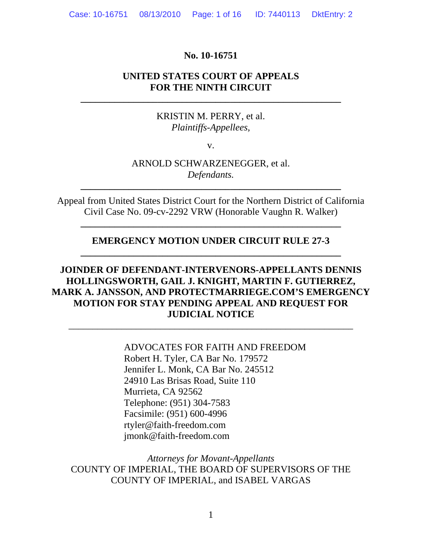#### **No. 10-16751**

# **UNITED STATES COURT OF APPEALS FOR THE NINTH CIRCUIT**

**\_\_\_\_\_\_\_\_\_\_\_\_\_\_\_\_\_\_\_\_\_\_\_\_\_\_\_\_\_\_\_\_\_\_\_\_\_\_\_\_\_\_\_\_\_\_\_\_\_\_\_\_\_\_** 

### KRISTIN M. PERRY, et al. *Plaintiffs-Appellees,*

v.

# ARNOLD SCHWARZENEGGER, et al. *Defendants.*

**\_\_\_\_\_\_\_\_\_\_\_\_\_\_\_\_\_\_\_\_\_\_\_\_\_\_\_\_\_\_\_\_\_\_\_\_\_\_\_\_\_\_\_\_\_\_\_\_\_\_\_\_\_\_** 

Appeal from United States District Court for the Northern District of California Civil Case No. 09-cv-2292 VRW (Honorable Vaughn R. Walker)

**\_\_\_\_\_\_\_\_\_\_\_\_\_\_\_\_\_\_\_\_\_\_\_\_\_\_\_\_\_\_\_\_\_\_\_\_\_\_\_\_\_\_\_\_\_\_\_\_\_\_\_\_\_\_** 

## **EMERGENCY MOTION UNDER CIRCUIT RULE 27-3 \_\_\_\_\_\_\_\_\_\_\_\_\_\_\_\_\_\_\_\_\_\_\_\_\_\_\_\_\_\_\_\_\_\_\_\_\_\_\_\_\_\_\_\_\_\_\_\_\_\_\_\_\_\_**

# **JOINDER OF DEFENDANT-INTERVENORS-APPELLANTS DENNIS HOLLINGSWORTH, GAIL J. KNIGHT, MARTIN F. GUTIERREZ, MARK A. JANSSON, AND PROTECTMARRIEGE.COM'S EMERGENCY MOTION FOR STAY PENDING APPEAL AND REQUEST FOR JUDICIAL NOTICE**

\_\_\_\_\_\_\_\_\_\_\_\_\_\_\_\_\_\_\_\_\_\_\_\_\_\_\_\_\_\_\_\_\_\_\_\_\_\_\_\_\_\_\_\_\_\_\_\_\_\_\_\_\_\_\_\_\_\_\_

ADVOCATES FOR FAITH AND FREEDOM Robert H. Tyler, CA Bar No. 179572 Jennifer L. Monk, CA Bar No. 245512 24910 Las Brisas Road, Suite 110 Murrieta, CA 92562 Telephone: (951) 304-7583 Facsimile: (951) 600-4996 rtyler@faith-freedom.com jmonk@faith-freedom.com

*Attorneys for Movant-Appellants*  COUNTY OF IMPERIAL, THE BOARD OF SUPERVISORS OF THE COUNTY OF IMPERIAL, and ISABEL VARGAS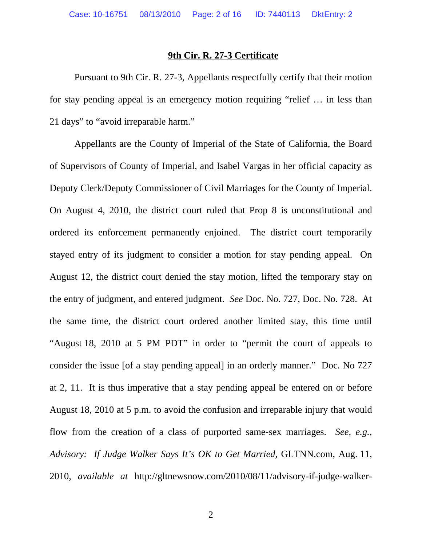#### **9th Cir. R. 27-3 Certificate**

Pursuant to 9th Cir. R. 27-3, Appellants respectfully certify that their motion for stay pending appeal is an emergency motion requiring "relief … in less than 21 days" to "avoid irreparable harm."

Appellants are the County of Imperial of the State of California, the Board of Supervisors of County of Imperial, and Isabel Vargas in her official capacity as Deputy Clerk/Deputy Commissioner of Civil Marriages for the County of Imperial. On August 4, 2010, the district court ruled that Prop 8 is unconstitutional and ordered its enforcement permanently enjoined. The district court temporarily stayed entry of its judgment to consider a motion for stay pending appeal. On August 12, the district court denied the stay motion, lifted the temporary stay on the entry of judgment, and entered judgment. *See* Doc. No. 727, Doc. No. 728. At the same time, the district court ordered another limited stay, this time until "August 18, 2010 at 5 PM PDT" in order to "permit the court of appeals to consider the issue [of a stay pending appeal] in an orderly manner." Doc. No 727 at 2, 11. It is thus imperative that a stay pending appeal be entered on or before August 18, 2010 at 5 p.m. to avoid the confusion and irreparable injury that would flow from the creation of a class of purported same-sex marriages. *See, e.g., Advisory: If Judge Walker Says It's OK to Get Married,* GLTNN.com, Aug. 11, 2010, *available at* http://gltnewsnow.com/2010/08/11/advisory-if-judge-walker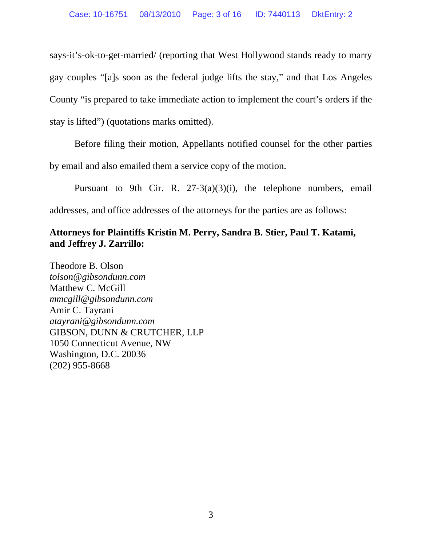says-it's-ok-to-get-married/ (reporting that West Hollywood stands ready to marry gay couples "[a]s soon as the federal judge lifts the stay," and that Los Angeles County "is prepared to take immediate action to implement the court's orders if the stay is lifted") (quotations marks omitted).

Before filing their motion, Appellants notified counsel for the other parties

by email and also emailed them a service copy of the motion.

Pursuant to 9th Cir. R. 27-3(a)(3)(i), the telephone numbers, email addresses, and office addresses of the attorneys for the parties are as follows:

# **Attorneys for Plaintiffs Kristin M. Perry, Sandra B. Stier, Paul T. Katami, and Jeffrey J. Zarrillo:**

Theodore B. Olson *tolson@gibsondunn.com*  Matthew C. McGill *mmcgill@gibsondunn.com*  Amir C. Tayrani *atayrani@gibsondunn.com*  GIBSON, DUNN & CRUTCHER, LLP 1050 Connecticut Avenue, NW Washington, D.C. 20036 (202) 955-8668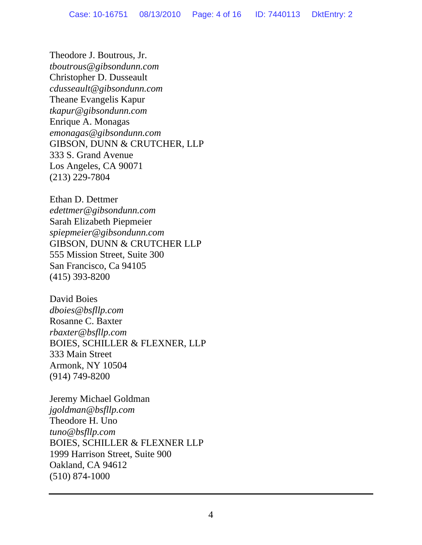Theodore J. Boutrous, Jr. *tboutrous@gibsondunn.com*  Christopher D. Dusseault *cdusseault@gibsondunn.com*  Theane Evangelis Kapur *tkapur@gibsondunn.com*  Enrique A. Monagas *emonagas@gibsondunn.com*  GIBSON, DUNN & CRUTCHER, LLP 333 S. Grand Avenue Los Angeles, CA 90071 (213) 229-7804

Ethan D. Dettmer *edettmer@gibsondunn.com*  Sarah Elizabeth Piepmeier *spiepmeier@gibsondunn.com*  GIBSON, DUNN & CRUTCHER LLP 555 Mission Street, Suite 300 San Francisco, Ca 94105 (415) 393-8200

David Boies *dboies@bsfllp.com*  Rosanne C. Baxter *rbaxter@bsfllp.com*  BOIES, SCHILLER & FLEXNER, LLP 333 Main Street Armonk, NY 10504 (914) 749-8200

Jeremy Michael Goldman *jgoldman@bsfllp.com*  Theodore H. Uno *tuno@bsfllp.com*  BOIES, SCHILLER & FLEXNER LLP 1999 Harrison Street, Suite 900 Oakland, CA 94612 (510) 874-1000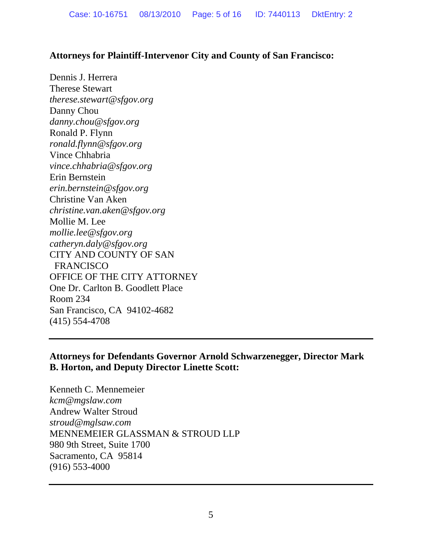# **Attorneys for Plaintiff-Intervenor City and County of San Francisco:**

Dennis J. Herrera Therese Stewart *therese.stewart@sfgov.org*  Danny Chou *danny.chou@sfgov.org*  Ronald P. Flynn *ronald.flynn@sfgov.org*  Vince Chhabria *vince.chhabria@sfgov.org*  Erin Bernstein *erin.bernstein@sfgov.org*  Christine Van Aken *christine.van.aken@sfgov.org*  Mollie M. Lee *mollie.lee@sfgov.org catheryn.daly@sfgov.org*  CITY AND COUNTY OF SAN FRANCISCO OFFICE OF THE CITY ATTORNEY One Dr. Carlton B. Goodlett Place Room 234 San Francisco, CA 94102-4682 (415) 554-4708

# **Attorneys for Defendants Governor Arnold Schwarzenegger, Director Mark B. Horton, and Deputy Director Linette Scott:**

Kenneth C. Mennemeier *kcm@mgslaw.com*  Andrew Walter Stroud *stroud@mglsaw.com*  MENNEMEIER GLASSMAN & STROUD LLP 980 9th Street, Suite 1700 Sacramento, CA 95814 (916) 553-4000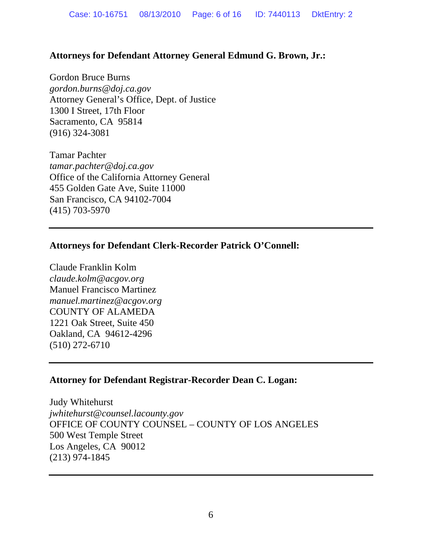# **Attorneys for Defendant Attorney General Edmund G. Brown, Jr.:**

Gordon Bruce Burns *gordon.burns@doj.ca.gov*  Attorney General's Office, Dept. of Justice 1300 I Street, 17th Floor Sacramento, CA 95814 (916) 324-3081

Tamar Pachter *tamar.pachter@doj.ca.gov*  Office of the California Attorney General 455 Golden Gate Ave, Suite 11000 San Francisco, CA 94102-7004 (415) 703-5970

## **Attorneys for Defendant Clerk-Recorder Patrick O'Connell:**

Claude Franklin Kolm *claude.kolm@acgov.org*  Manuel Francisco Martinez *manuel.martinez@acgov.org*  COUNTY OF ALAMEDA 1221 Oak Street, Suite 450 Oakland, CA 94612-4296 (510) 272-6710

### **Attorney for Defendant Registrar-Recorder Dean C. Logan:**

Judy Whitehurst *jwhitehurst@counsel.lacounty.gov*  OFFICE OF COUNTY COUNSEL – COUNTY OF LOS ANGELES 500 West Temple Street Los Angeles, CA 90012 (213) 974-1845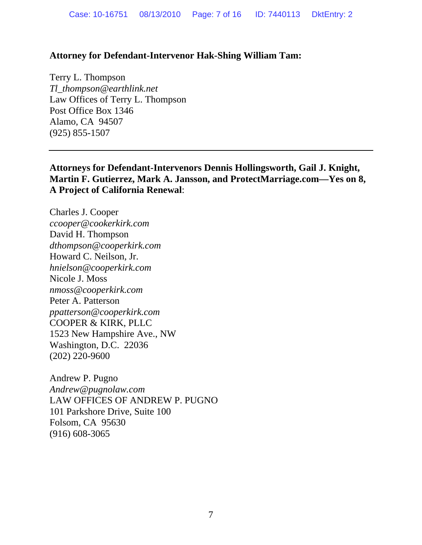### **Attorney for Defendant-Intervenor Hak-Shing William Tam:**

Terry L. Thompson *Tl\_thompson@earthlink.net*  Law Offices of Terry L. Thompson Post Office Box 1346 Alamo, CA 94507 (925) 855-1507

**Attorneys for Defendant-Intervenors Dennis Hollingsworth, Gail J. Knight, Martin F. Gutierrez, Mark A. Jansson, and ProtectMarriage.com—Yes on 8, A Project of California Renewal**:

Charles J. Cooper *ccooper@cookerkirk.com*  David H. Thompson *dthompson@cooperkirk.com*  Howard C. Neilson, Jr. *hnielson@cooperkirk.com*  Nicole J. Moss *nmoss@cooperkirk.com*  Peter A. Patterson *ppatterson@cooperkirk.com*  COOPER & KIRK, PLLC 1523 New Hampshire Ave., NW Washington, D.C. 22036 (202) 220-9600

Andrew P. Pugno *Andrew@pugnolaw.com*  LAW OFFICES OF ANDREW P. PUGNO 101 Parkshore Drive, Suite 100 Folsom, CA 95630 (916) 608-3065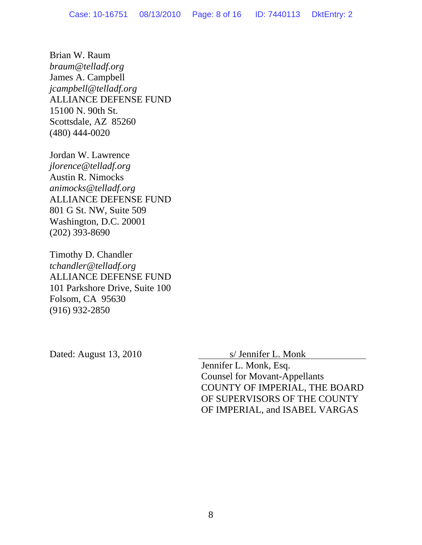Brian W. Raum *braum@telladf.org*  James A. Campbell *jcampbell@telladf.org*  ALLIANCE DEFENSE FUND 15100 N. 90th St. Scottsdale, AZ 85260 (480) 444-0020

Jordan W. Lawrence *jlorence@telladf.org*  Austin R. Nimocks *animocks@telladf.org*  ALLIANCE DEFENSE FUND 801 G St. NW, Suite 509 Washington, D.C. 20001 (202) 393-8690

Timothy D. Chandler *tchandler@telladf.org*  ALLIANCE DEFENSE FUND 101 Parkshore Drive, Suite 100 Folsom, CA 95630 (916) 932-2850

Dated: August 13, 2010 S/ Jennifer L. Monk

Jennifer L. Monk, Esq. Counsel for Movant-Appellants COUNTY OF IMPERIAL, THE BOARD OF SUPERVISORS OF THE COUNTY OF IMPERIAL, and ISABEL VARGAS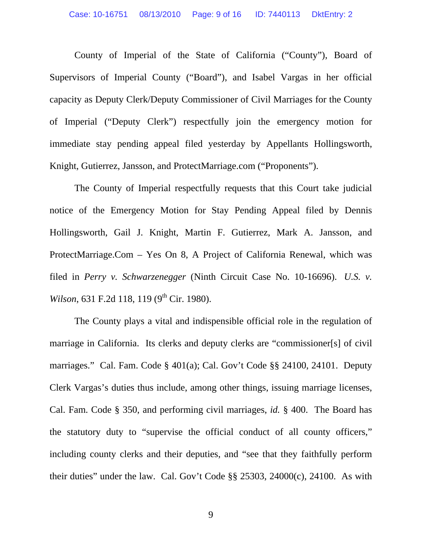County of Imperial of the State of California ("County"), Board of Supervisors of Imperial County ("Board"), and Isabel Vargas in her official capacity as Deputy Clerk/Deputy Commissioner of Civil Marriages for the County of Imperial ("Deputy Clerk") respectfully join the emergency motion for immediate stay pending appeal filed yesterday by Appellants Hollingsworth, Knight, Gutierrez, Jansson, and ProtectMarriage.com ("Proponents").

The County of Imperial respectfully requests that this Court take judicial notice of the Emergency Motion for Stay Pending Appeal filed by Dennis Hollingsworth, Gail J. Knight, Martin F. Gutierrez, Mark A. Jansson, and ProtectMarriage.Com – Yes On 8, A Project of California Renewal, which was filed in *Perry v. Schwarzenegger* (Ninth Circuit Case No. 10-16696). *U.S. v. Wilson*, 631 F.2d 118, 119 (9<sup>th</sup> Cir. 1980).

The County plays a vital and indispensible official role in the regulation of marriage in California. Its clerks and deputy clerks are "commissioner[s] of civil marriages." Cal. Fam. Code § 401(a); Cal. Gov't Code §§ 24100, 24101. Deputy Clerk Vargas's duties thus include, among other things, issuing marriage licenses, Cal. Fam. Code § 350, and performing civil marriages, *id.* § 400. The Board has the statutory duty to "supervise the official conduct of all county officers," including county clerks and their deputies, and "see that they faithfully perform their duties" under the law. Cal. Gov't Code §§ 25303, 24000(c), 24100. As with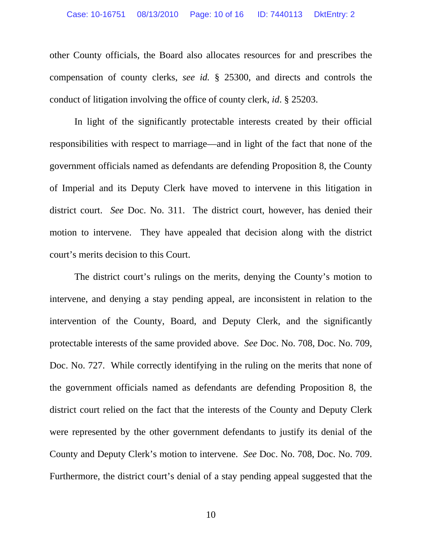other County officials, the Board also allocates resources for and prescribes the compensation of county clerks, *see id.* § 25300, and directs and controls the conduct of litigation involving the office of county clerk, *id*. § 25203.

In light of the significantly protectable interests created by their official responsibilities with respect to marriage—and in light of the fact that none of the government officials named as defendants are defending Proposition 8, the County of Imperial and its Deputy Clerk have moved to intervene in this litigation in district court. *See* Doc. No. 311. The district court, however, has denied their motion to intervene. They have appealed that decision along with the district court's merits decision to this Court.

The district court's rulings on the merits, denying the County's motion to intervene, and denying a stay pending appeal, are inconsistent in relation to the intervention of the County, Board, and Deputy Clerk, and the significantly protectable interests of the same provided above. *See* Doc. No. 708, Doc. No. 709, Doc. No. 727. While correctly identifying in the ruling on the merits that none of the government officials named as defendants are defending Proposition 8, the district court relied on the fact that the interests of the County and Deputy Clerk were represented by the other government defendants to justify its denial of the County and Deputy Clerk's motion to intervene. *See* Doc. No. 708, Doc. No. 709. Furthermore, the district court's denial of a stay pending appeal suggested that the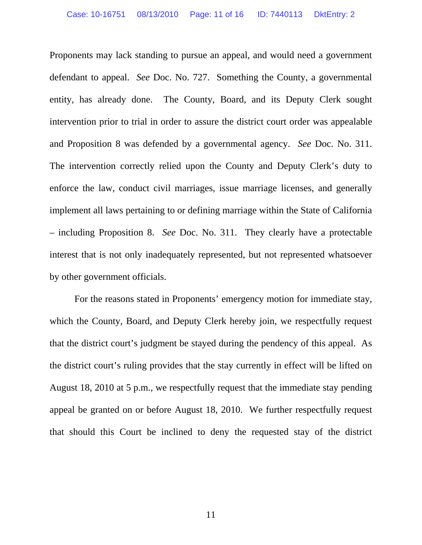Proponents may lack standing to pursue an appeal, and would need a government defendant to appeal. *See* Doc. No. 727. Something the County, a governmental entity, has already done. The County, Board, and its Deputy Clerk sought intervention prior to trial in order to assure the district court order was appealable and Proposition 8 was defended by a governmental agency. *See* Doc. No. 311. The intervention correctly relied upon the County and Deputy Clerk's duty to enforce the law, conduct civil marriages, issue marriage licenses, and generally implement all laws pertaining to or defining marriage within the State of California – including Proposition 8. *See* Doc. No. 311.They clearly have a protectable interest that is not only inadequately represented, but not represented whatsoever by other government officials.

For the reasons stated in Proponents' emergency motion for immediate stay, which the County, Board, and Deputy Clerk hereby join, we respectfully request that the district court's judgment be stayed during the pendency of this appeal. As the district court's ruling provides that the stay currently in effect will be lifted on August 18, 2010 at 5 p.m., we respectfully request that the immediate stay pending appeal be granted on or before August 18, 2010. We further respectfully request that should this Court be inclined to deny the requested stay of the district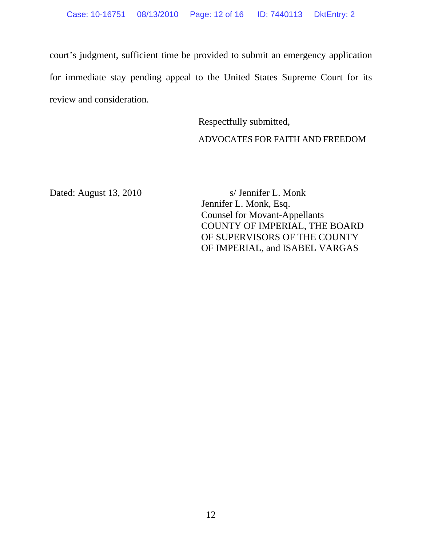court's judgment, sufficient time be provided to submit an emergency application for immediate stay pending appeal to the United States Supreme Court for its review and consideration.

> Respectfully submitted, ADVOCATES FOR FAITH AND FREEDOM

Dated: August 13, 2010 s/ Jennifer L. Monk

Jennifer L. Monk, Esq. Counsel for Movant-Appellants COUNTY OF IMPERIAL, THE BOARD OF SUPERVISORS OF THE COUNTY OF IMPERIAL, and ISABEL VARGAS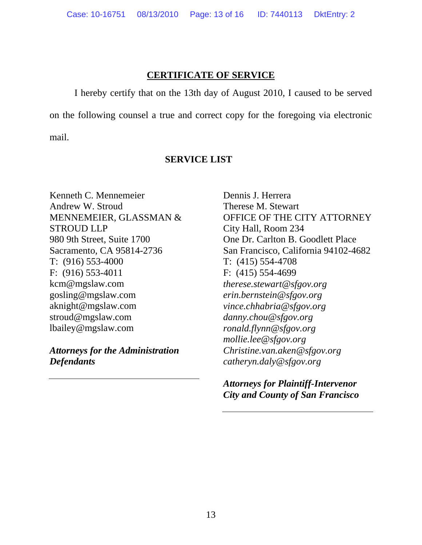# **CERTIFICATE OF SERVICE**

I hereby certify that on the 13th day of August 2010, I caused to be served

on the following counsel a true and correct copy for the foregoing via electronic

mail.

## **SERVICE LIST**

Kenneth C. Mennemeier Andrew W. Stroud MENNEMEIER, GLASSMAN & STROUD LLP 980 9th Street, Suite 1700 Sacramento, CA 95814-2736 T: (916) 553-4000 F: (916) 553-4011 kcm@mgslaw.com gosling@mgslaw.com aknight@mgslaw.com stroud@mgslaw.com lbailey@mgslaw.com

*Attorneys for the Administration Defendants* 

Dennis J. Herrera Therese M. Stewart OFFICE OF THE CITY ATTORNEY City Hall, Room 234 One Dr. Carlton B. Goodlett Place San Francisco, California 94102-4682 T: (415) 554-4708 F: (415) 554-4699 *therese.stewart@sfgov.org erin.bernstein@sfgov.org vince.chhabria@sfgov.org danny.chou@sfgov.org ronald.flynn@sfgov.org mollie.lee@sfgov.org Christine.van.aken@sfgov.org catheryn.daly@sfgov.org* 

*Attorneys for Plaintiff-Intervenor City and County of San Francisco*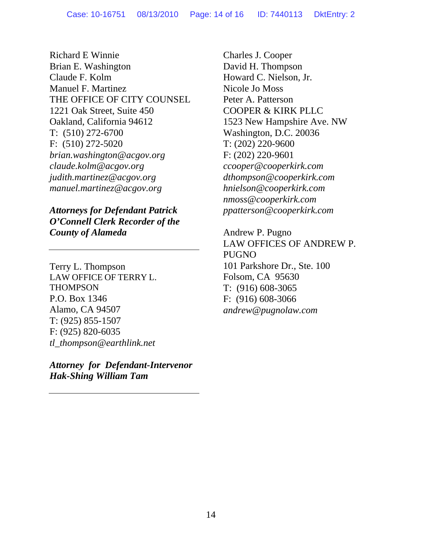Richard E Winnie Brian E. Washington Claude F. Kolm Manuel F. Martinez THE OFFICE OF CITY COUNSEL 1221 Oak Street, Suite 450 Oakland, California 94612 T: (510) 272-6700 F: (510) 272-5020 *brian.washington@acgov.org claude.kolm@acgov.org judith.martinez@acgov.org manuel.martinez@acgov.org* 

*Attorneys for Defendant Patrick O'Connell Clerk Recorder of the County of Alameda* 

Terry L. Thompson LAW OFFICE OF TERRY L. **THOMPSON** P.O. Box 1346 Alamo, CA 94507 T: (925) 855-1507 F: (925) 820-6035 *tl\_thompson@earthlink.net* 

*Attorney for Defendant-Intervenor Hak-Shing William Tam* 

Charles J. Cooper David H. Thompson Howard C. Nielson, Jr. Nicole Jo Moss Peter A. Patterson COOPER & KIRK PLLC 1523 New Hampshire Ave. NW Washington, D.C. 20036 T: (202) 220-9600 F: (202) 220-9601 *ccooper@cooperkirk.com dthompson@cooperkirk.com hnielson@cooperkirk.com nmoss@cooperkirk.com ppatterson@cooperkirk.com* 

Andrew P. Pugno LAW OFFICES OF ANDREW P. PUGNO 101 Parkshore Dr., Ste. 100 Folsom, CA 95630 T: (916) 608-3065 F: (916) 608-3066 *andrew@pugnolaw.com*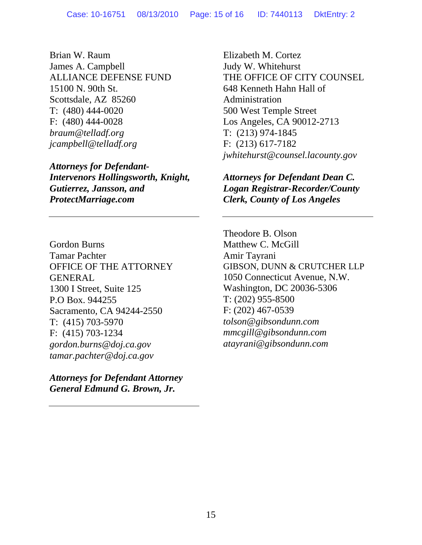Brian W. Raum James A. Campbell ALLIANCE DEFENSE FUND 15100 N. 90th St. Scottsdale, AZ 85260 T: (480) 444-0020 F: (480) 444-0028 *braum@telladf.org jcampbell@telladf.org* 

*Attorneys for Defendant-Intervenors Hollingsworth, Knight, Gutierrez, Jansson, and ProtectMarriage.com*

Gordon Burns Tamar Pachter OFFICE OF THE ATTORNEY **GENERAL** 1300 I Street, Suite 125 P.O Box. 944255 Sacramento, CA 94244-2550 T: (415) 703-5970 F: (415) 703-1234 *gordon.burns@doj.ca.gov tamar.pachter@doj.ca.gov* 

*Attorneys for Defendant Attorney General Edmund G. Brown, Jr.* 

Elizabeth M. Cortez Judy W. Whitehurst THE OFFICE OF CITY COUNSEL 648 Kenneth Hahn Hall of Administration 500 West Temple Street Los Angeles, CA 90012-2713 T: (213) 974-1845 F: (213) 617-7182 *jwhitehurst@counsel.lacounty.gov* 

*Attorneys for Defendant Dean C. Logan Registrar-Recorder/County Clerk, County of Los Angeles* 

Theodore B. Olson Matthew C. McGill Amir Tayrani GIBSON, DUNN & CRUTCHER LLP 1050 Connecticut Avenue, N.W. Washington, DC 20036-5306 T: (202) 955-8500 F: (202) 467-0539 *tolson@gibsondunn.com mmcgill@gibsondunn.com atayrani@gibsondunn.com*